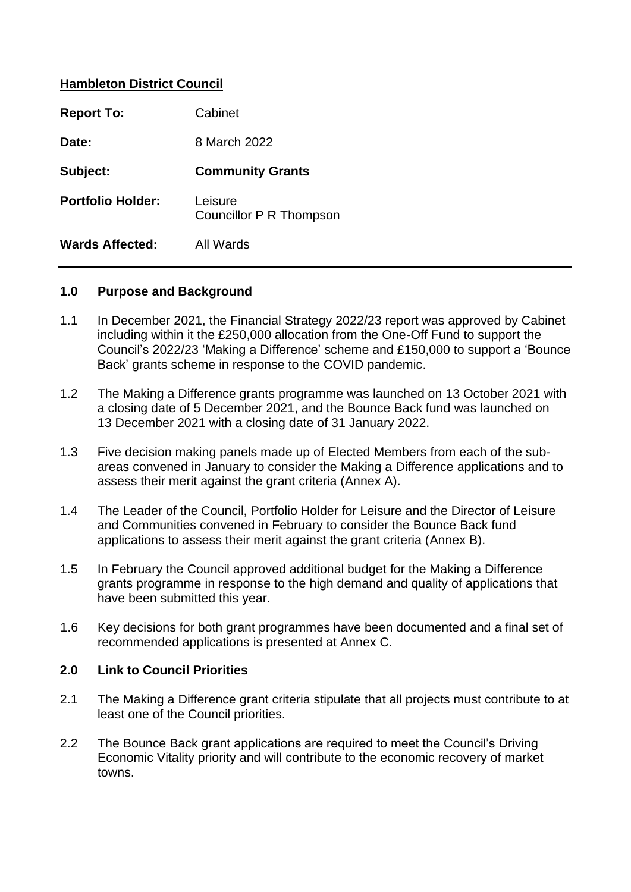# **Hambleton District Council**

| <b>Report To:</b>        | Cabinet                            |
|--------------------------|------------------------------------|
| Date:                    | 8 March 2022                       |
| Subject:                 | <b>Community Grants</b>            |
| <b>Portfolio Holder:</b> | Leisure<br>Councillor P R Thompson |
| <b>Wards Affected:</b>   | All Wards                          |

#### **1.0 Purpose and Background**

- 1.1 In December 2021, the Financial Strategy 2022/23 report was approved by Cabinet including within it the £250,000 allocation from the One-Off Fund to support the Council's 2022/23 'Making a Difference' scheme and £150,000 to support a 'Bounce Back' grants scheme in response to the COVID pandemic.
- 1.2 The Making a Difference grants programme was launched on 13 October 2021 with a closing date of 5 December 2021, and the Bounce Back fund was launched on 13 December 2021 with a closing date of 31 January 2022.
- 1.3 Five decision making panels made up of Elected Members from each of the subareas convened in January to consider the Making a Difference applications and to assess their merit against the grant criteria (Annex A).
- 1.4 The Leader of the Council, Portfolio Holder for Leisure and the Director of Leisure and Communities convened in February to consider the Bounce Back fund applications to assess their merit against the grant criteria (Annex B).
- 1.5 In February the Council approved additional budget for the Making a Difference grants programme in response to the high demand and quality of applications that have been submitted this year.
- 1.6 Key decisions for both grant programmes have been documented and a final set of recommended applications is presented at Annex C.

## **2.0 Link to Council Priorities**

- 2.1 The Making a Difference grant criteria stipulate that all projects must contribute to at least one of the Council priorities.
- 2.2 The Bounce Back grant applications are required to meet the Council's Driving Economic Vitality priority and will contribute to the economic recovery of market towns.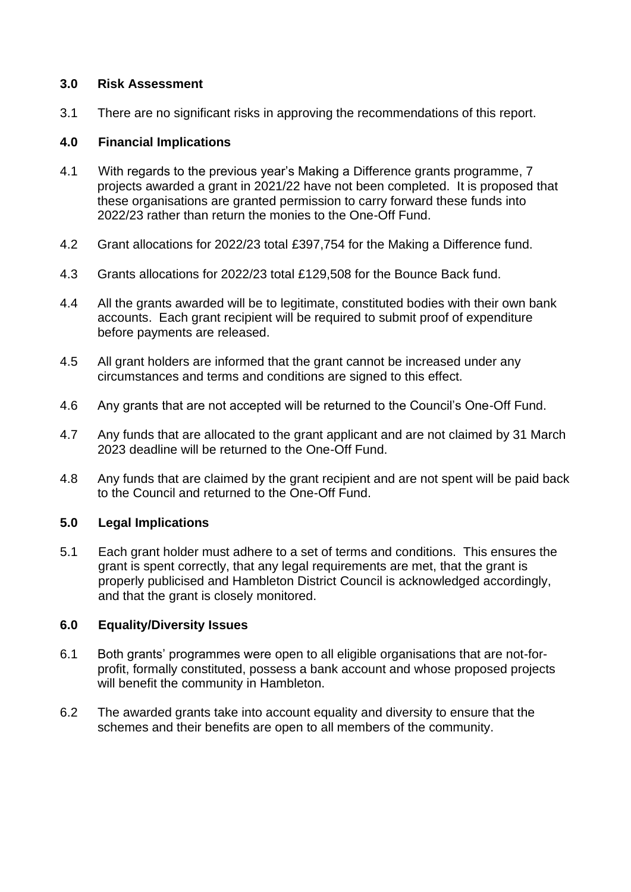# **3.0 Risk Assessment**

3.1 There are no significant risks in approving the recommendations of this report.

# **4.0 Financial Implications**

- 4.1 With regards to the previous year's Making a Difference grants programme, 7 projects awarded a grant in 2021/22 have not been completed. It is proposed that these organisations are granted permission to carry forward these funds into 2022/23 rather than return the monies to the One-Off Fund.
- 4.2 Grant allocations for 2022/23 total £397,754 for the Making a Difference fund.
- 4.3 Grants allocations for 2022/23 total £129,508 for the Bounce Back fund.
- 4.4 All the grants awarded will be to legitimate, constituted bodies with their own bank accounts. Each grant recipient will be required to submit proof of expenditure before payments are released.
- 4.5 All grant holders are informed that the grant cannot be increased under any circumstances and terms and conditions are signed to this effect.
- 4.6 Any grants that are not accepted will be returned to the Council's One-Off Fund.
- 4.7 Any funds that are allocated to the grant applicant and are not claimed by 31 March 2023 deadline will be returned to the One-Off Fund.
- 4.8 Any funds that are claimed by the grant recipient and are not spent will be paid back to the Council and returned to the One-Off Fund.

## **5.0 Legal Implications**

5.1 Each grant holder must adhere to a set of terms and conditions. This ensures the grant is spent correctly, that any legal requirements are met, that the grant is properly publicised and Hambleton District Council is acknowledged accordingly, and that the grant is closely monitored.

## **6.0 Equality/Diversity Issues**

- 6.1 Both grants' programmes were open to all eligible organisations that are not-forprofit, formally constituted, possess a bank account and whose proposed projects will benefit the community in Hambleton.
- 6.2 The awarded grants take into account equality and diversity to ensure that the schemes and their benefits are open to all members of the community.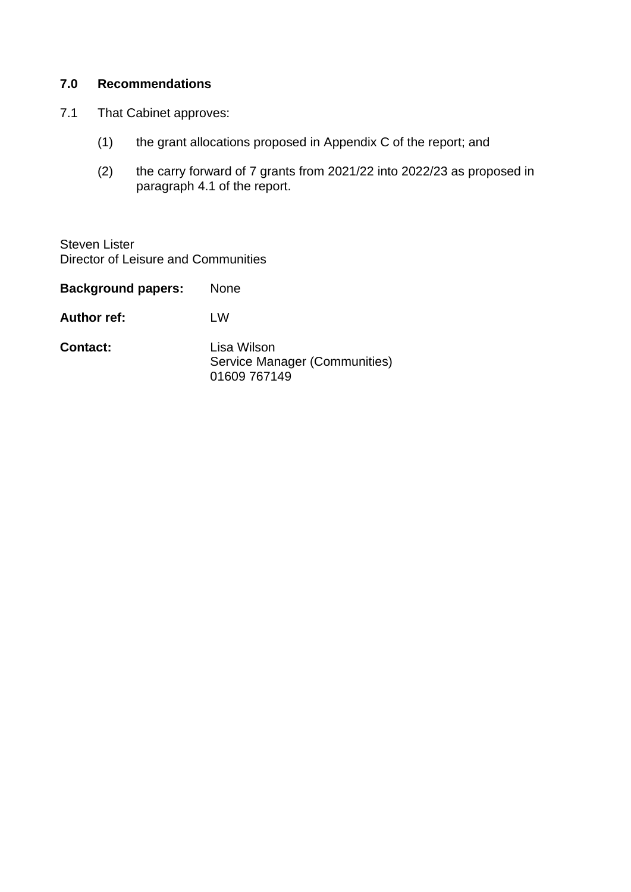# **7.0 Recommendations**

- 7.1 That Cabinet approves:
	- (1) the grant allocations proposed in Appendix C of the report; and
	- (2) the carry forward of 7 grants from 2021/22 into 2022/23 as proposed in paragraph 4.1 of the report.

Steven Lister Director of Leisure and Communities

| <b>Background papers:</b> | None                                                         |
|---------------------------|--------------------------------------------------------------|
| <b>Author ref:</b>        | l W                                                          |
| <b>Contact:</b>           | Lisa Wilson<br>Service Manager (Communities)<br>01609 767149 |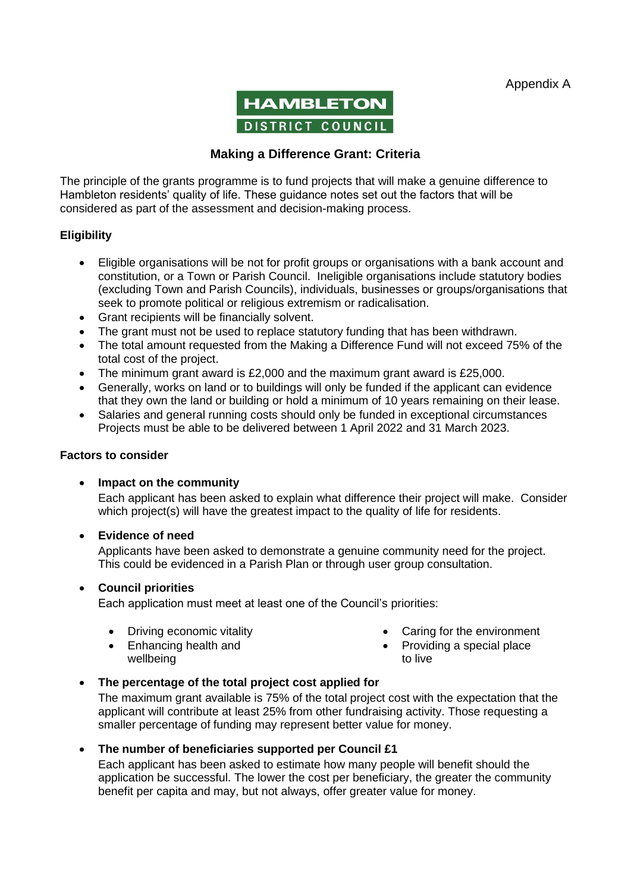Appendix A



# **Making a Difference Grant: Criteria**

The principle of the grants programme is to fund projects that will make a genuine difference to Hambleton residents' quality of life. These guidance notes set out the factors that will be considered as part of the assessment and decision-making process.

#### **Eligibility**

- Eligible organisations will be not for profit groups or organisations with a bank account and constitution, or a Town or Parish Council. Ineligible organisations include statutory bodies (excluding Town and Parish Councils), individuals, businesses or groups/organisations that seek to promote political or religious extremism or radicalisation.
- Grant recipients will be financially solvent.
- The grant must not be used to replace statutory funding that has been withdrawn.
- The total amount requested from the Making a Difference Fund will not exceed 75% of the total cost of the project.
- The minimum grant award is £2,000 and the maximum grant award is £25,000.
- Generally, works on land or to buildings will only be funded if the applicant can evidence that they own the land or building or hold a minimum of 10 years remaining on their lease.
- Salaries and general running costs should only be funded in exceptional circumstances Projects must be able to be delivered between 1 April 2022 and 31 March 2023.

#### **Factors to consider**

#### • **Impact on the community**

Each applicant has been asked to explain what difference their project will make. Consider which project(s) will have the greatest impact to the quality of life for residents.

#### • **Evidence of need**

Applicants have been asked to demonstrate a genuine community need for the project. This could be evidenced in a Parish Plan or through user group consultation.

#### • **Council priorities**

Each application must meet at least one of the Council's priorities:

• Driving economic vitality

• Caring for the environment

• Enhancing health and wellbeing

- Providing a special place
- to live

## • **The percentage of the total project cost applied for**

The maximum grant available is 75% of the total project cost with the expectation that the applicant will contribute at least 25% from other fundraising activity. Those requesting a smaller percentage of funding may represent better value for money.

#### • **The number of beneficiaries supported per Council £1**

Each applicant has been asked to estimate how many people will benefit should the application be successful. The lower the cost per beneficiary, the greater the community benefit per capita and may, but not always, offer greater value for money.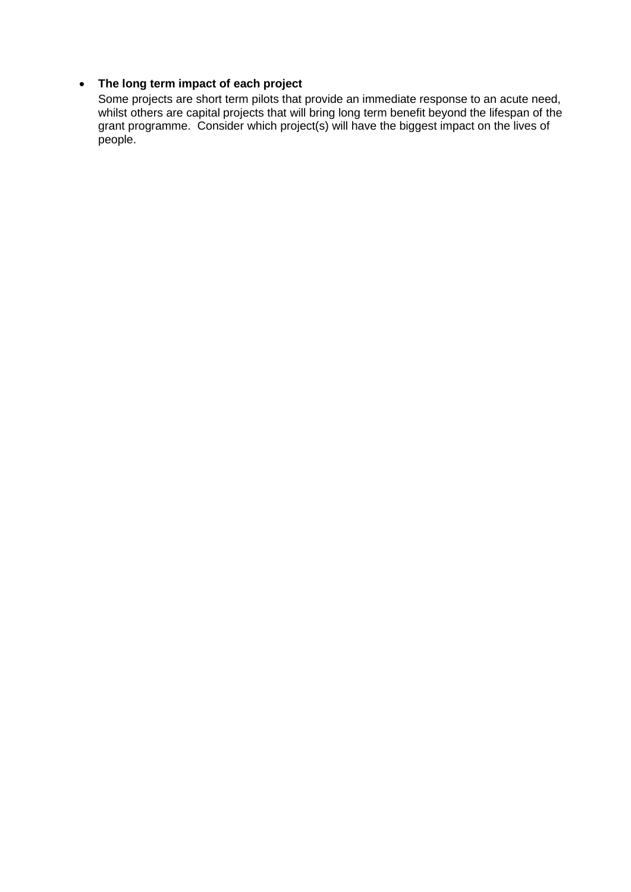### • **The long term impact of each project**

Some projects are short term pilots that provide an immediate response to an acute need, whilst others are capital projects that will bring long term benefit beyond the lifespan of the grant programme. Consider which project(s) will have the biggest impact on the lives of people.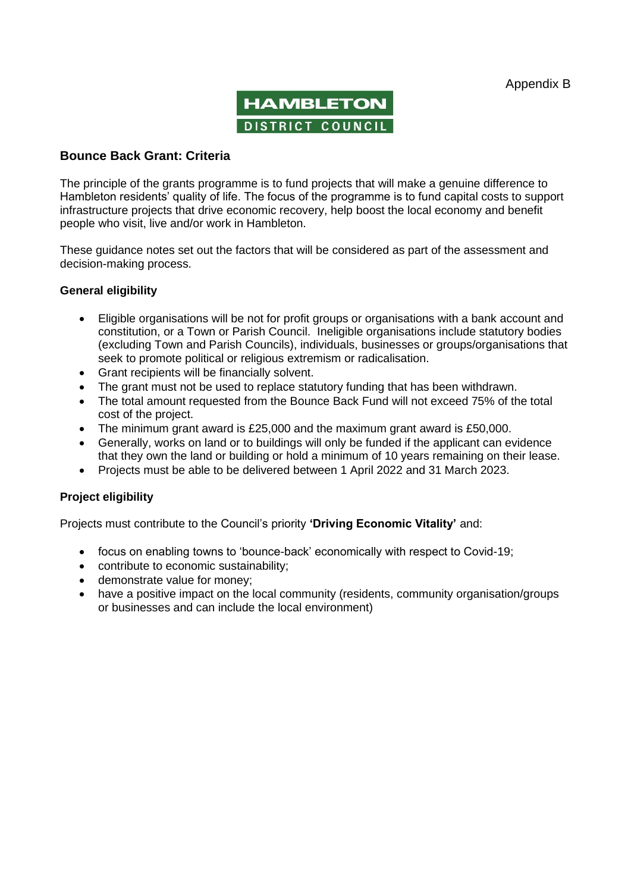

#### **Bounce Back Grant: Criteria**

The principle of the grants programme is to fund projects that will make a genuine difference to Hambleton residents' quality of life. The focus of the programme is to fund capital costs to support infrastructure projects that drive economic recovery, help boost the local economy and benefit people who visit, live and/or work in Hambleton.

These guidance notes set out the factors that will be considered as part of the assessment and decision-making process.

#### **General eligibility**

- Eligible organisations will be not for profit groups or organisations with a bank account and constitution, or a Town or Parish Council. Ineligible organisations include statutory bodies (excluding Town and Parish Councils), individuals, businesses or groups/organisations that seek to promote political or religious extremism or radicalisation.
- Grant recipients will be financially solvent.
- The grant must not be used to replace statutory funding that has been withdrawn.
- The total amount requested from the Bounce Back Fund will not exceed 75% of the total cost of the project.
- The minimum grant award is £25,000 and the maximum grant award is £50,000.
- Generally, works on land or to buildings will only be funded if the applicant can evidence that they own the land or building or hold a minimum of 10 years remaining on their lease.
- Projects must be able to be delivered between 1 April 2022 and 31 March 2023.

#### **Project eligibility**

Projects must contribute to the Council's priority **'Driving Economic Vitality'** and:

- focus on enabling towns to 'bounce-back' economically with respect to Covid-19;
- contribute to economic sustainability;
- demonstrate value for money:
- have a positive impact on the local community (residents, community organisation/groups or businesses and can include the local environment)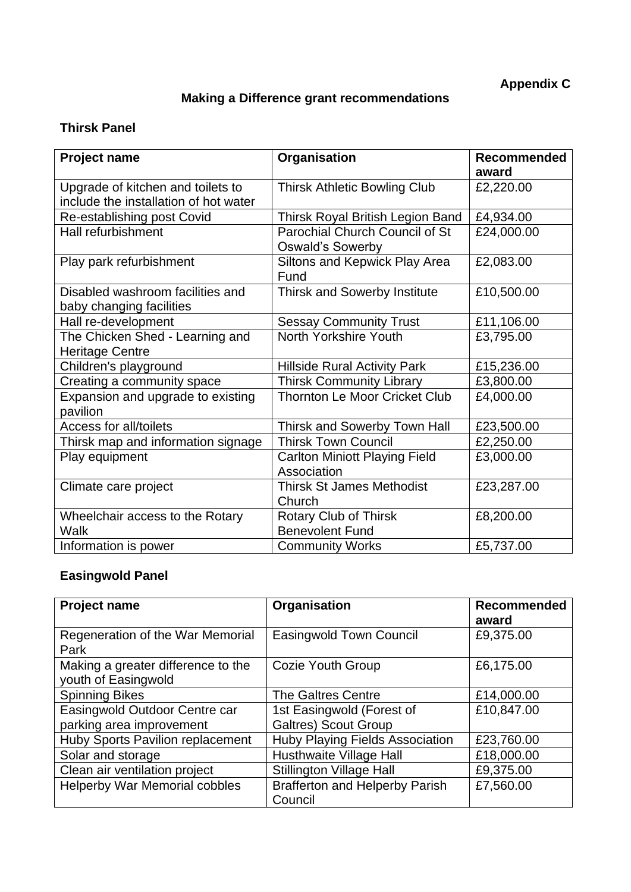# **Making a Difference grant recommendations**

# **Thirsk Panel**

| <b>Project name</b>                   | Organisation                            | <b>Recommended</b> |
|---------------------------------------|-----------------------------------------|--------------------|
|                                       |                                         | award              |
| Upgrade of kitchen and toilets to     | <b>Thirsk Athletic Bowling Club</b>     | £2,220.00          |
| include the installation of hot water |                                         |                    |
| Re-establishing post Covid            | <b>Thirsk Royal British Legion Band</b> | £4,934.00          |
| Hall refurbishment                    | Parochial Church Council of St          | £24,000.00         |
|                                       | <b>Oswald's Sowerby</b>                 |                    |
| Play park refurbishment               | Siltons and Kepwick Play Area           | £2,083.00          |
|                                       | Fund                                    |                    |
| Disabled washroom facilities and      | Thirsk and Sowerby Institute            | £10,500.00         |
| baby changing facilities              |                                         |                    |
| Hall re-development                   | <b>Sessay Community Trust</b>           | £11,106.00         |
| The Chicken Shed - Learning and       | North Yorkshire Youth                   | £3,795.00          |
| <b>Heritage Centre</b>                |                                         |                    |
| Children's playground                 | <b>Hillside Rural Activity Park</b>     | £15,236.00         |
| Creating a community space            | <b>Thirsk Community Library</b>         | £3,800.00          |
| Expansion and upgrade to existing     | <b>Thornton Le Moor Cricket Club</b>    | £4,000.00          |
| pavilion                              |                                         |                    |
| Access for all/toilets                | Thirsk and Sowerby Town Hall            | £23,500.00         |
| Thirsk map and information signage    | <b>Thirsk Town Council</b>              | £2,250.00          |
| Play equipment                        | <b>Carlton Miniott Playing Field</b>    | £3,000.00          |
|                                       | Association                             |                    |
| Climate care project                  | <b>Thirsk St James Methodist</b>        | £23,287.00         |
|                                       | Church                                  |                    |
| Wheelchair access to the Rotary       | <b>Rotary Club of Thirsk</b>            | £8,200.00          |
| Walk                                  | <b>Benevolent Fund</b>                  |                    |
| Information is power                  | <b>Community Works</b>                  | £5,737.00          |

# **Easingwold Panel**

| <b>Project name</b>                                       | Organisation                                     | <b>Recommended</b><br>award |
|-----------------------------------------------------------|--------------------------------------------------|-----------------------------|
| Regeneration of the War Memorial<br>Park                  | <b>Easingwold Town Council</b>                   | £9,375.00                   |
| Making a greater difference to the<br>youth of Easingwold | Cozie Youth Group                                | £6,175.00                   |
| <b>Spinning Bikes</b>                                     | The Galtres Centre                               | £14,000.00                  |
| Easingwold Outdoor Centre car                             | 1st Easingwold (Forest of                        | £10,847.00                  |
| parking area improvement                                  | <b>Galtres) Scout Group</b>                      |                             |
| Huby Sports Pavilion replacement                          | <b>Huby Playing Fields Association</b>           | £23,760.00                  |
| Solar and storage                                         | Husthwaite Village Hall                          | £18,000.00                  |
| Clean air ventilation project                             | <b>Stillington Village Hall</b>                  | £9,375.00                   |
| <b>Helperby War Memorial cobbles</b>                      | <b>Brafferton and Helperby Parish</b><br>Council | £7,560.00                   |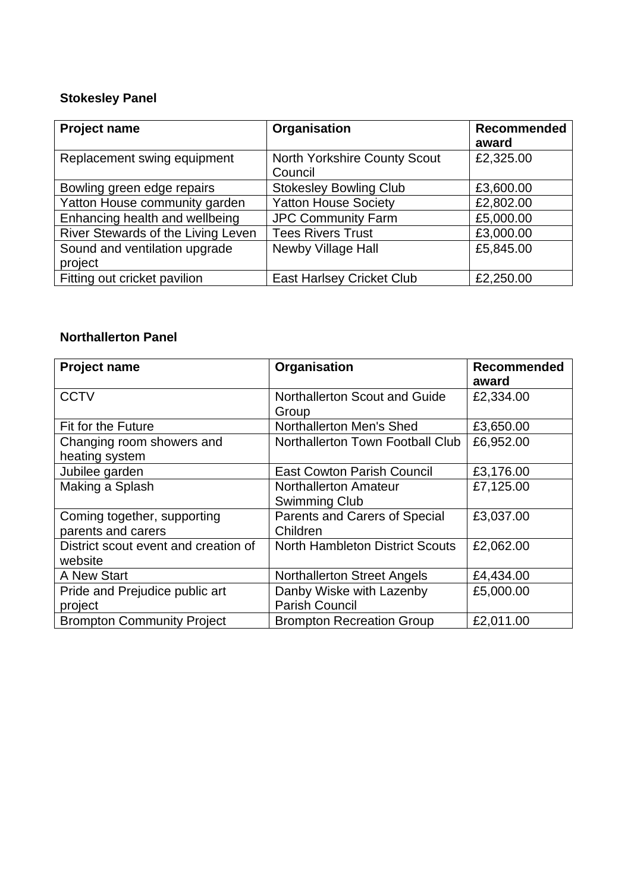# **Stokesley Panel**

| <b>Project name</b>                      | Organisation                            | <b>Recommended</b><br>award |
|------------------------------------------|-----------------------------------------|-----------------------------|
| Replacement swing equipment              | North Yorkshire County Scout<br>Council | £2,325.00                   |
| Bowling green edge repairs               | <b>Stokesley Bowling Club</b>           | £3,600.00                   |
| Yatton House community garden            | <b>Yatton House Society</b>             | £2,802.00                   |
| Enhancing health and wellbeing           | <b>JPC Community Farm</b>               | £5,000.00                   |
| River Stewards of the Living Leven       | <b>Tees Rivers Trust</b>                | £3,000.00                   |
| Sound and ventilation upgrade<br>project | Newby Village Hall                      | £5,845.00                   |
| Fitting out cricket pavilion             | <b>East Harlsey Cricket Club</b>        | £2,250.00                   |

# **Northallerton Panel**

| <b>Project name</b>                               | Organisation                                         | <b>Recommended</b><br>award |
|---------------------------------------------------|------------------------------------------------------|-----------------------------|
| <b>CCTV</b>                                       | Northallerton Scout and Guide<br>Group               | £2,334.00                   |
| Fit for the Future                                | Northallerton Men's Shed                             | £3,650.00                   |
| Changing room showers and<br>heating system       | Northallerton Town Football Club                     | £6,952.00                   |
| Jubilee garden                                    | <b>East Cowton Parish Council</b>                    | £3,176.00                   |
| Making a Splash                                   | <b>Northallerton Amateur</b><br><b>Swimming Club</b> | £7,125.00                   |
| Coming together, supporting<br>parents and carers | Parents and Carers of Special<br>Children            | £3,037.00                   |
| District scout event and creation of<br>website   | <b>North Hambleton District Scouts</b>               | £2,062.00                   |
| A New Start                                       | <b>Northallerton Street Angels</b>                   | £4,434.00                   |
| Pride and Prejudice public art<br>project         | Danby Wiske with Lazenby<br><b>Parish Council</b>    | £5,000.00                   |
| <b>Brompton Community Project</b>                 | <b>Brompton Recreation Group</b>                     | £2,011.00                   |